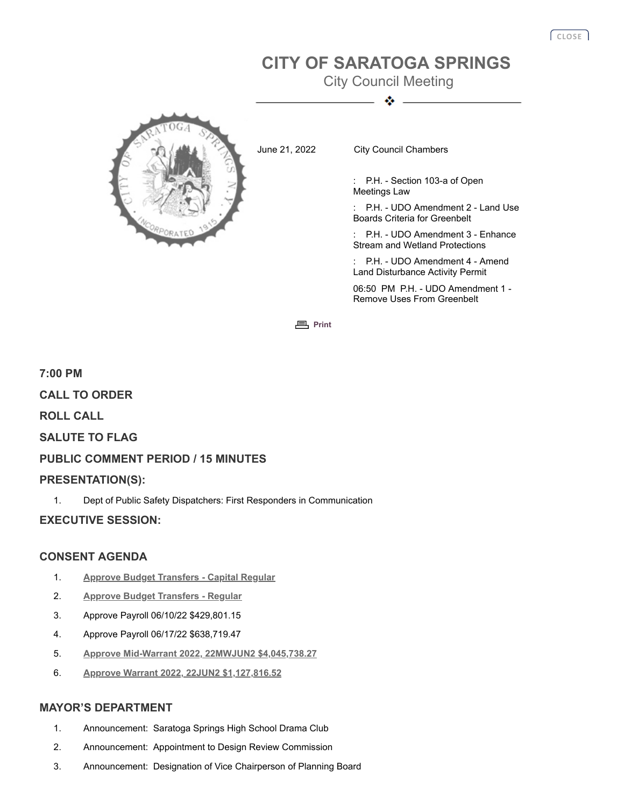# **CITY OF SARATOGA SPRINGS**

City Council Meeting ٠



June 21, 2022 City Council Chambers

: P.H. - Section 103-a of Open Meetings Law

P.H. - UDO Amendment 2 - Land Use Boards Criteria for Greenbelt

P.H. - UDO Amendment 3 - Enhance Stream and Wetland Protections

P.H. - UDO Amendment 4 - Amend Land Disturbance Activity Permit

06:50 PM P.H. - UDO Amendment 1 - Remove Uses From Greenbelt

**图** [Print](javascript:history.go(0);)

# **7:00 PM CALL TO ORDER ROLL CALL SALUTE TO FLAG PUBLIC COMMENT PERIOD / 15 MINUTES PRESENTATION(S):**

1. Dept of Public Safety Dispatchers: First Responders in Communication

## **EXECUTIVE SESSION:**

## **CONSENT AGENDA**

- 1. **[Approve Budget Transfers Capital Regular](http://agenda.saratoga-springs.org/agendainternal/Bluesheet.aspx?ItemID=19998&MeetingID=1562)**
- 2. **[Approve Budget Transfers Regular](http://agenda.saratoga-springs.org/agendainternal/Bluesheet.aspx?ItemID=19973&MeetingID=1562)**
- 3. Approve Payroll 06/10/22 \$429,801.15
- 4. Approve Payroll 06/17/22 \$638,719.47
- 5. **[Approve Mid-Warrant 2022, 22MWJUN2 \\$4,045,738.27](http://agenda.saratoga-springs.org/agendainternal/Bluesheet.aspx?ItemID=19969&MeetingID=1562)**
- 6. **[Approve Warrant 2022, 22JUN2 \\$1,127,816.52](http://agenda.saratoga-springs.org/agendainternal/Bluesheet.aspx?ItemID=20008&MeetingID=1562)**

### **MAYOR'S DEPARTMENT**

- 1. Announcement: Saratoga Springs High School Drama Club
- 2. Announcement: Appointment to Design Review Commission
- 3. Announcement: Designation of Vice Chairperson of Planning Board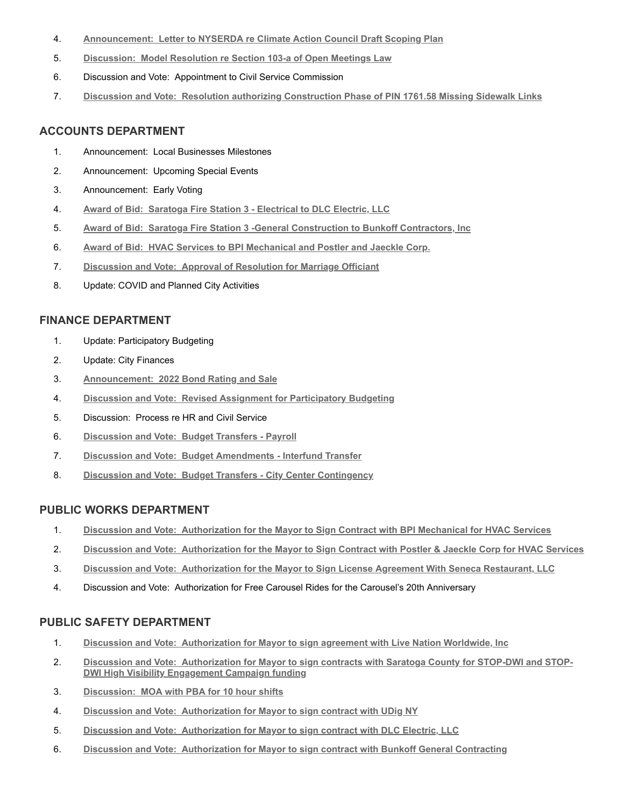- 4. **Announcement: [Letter to NYSERDA re Climate Action Council Draft Scoping Plan](http://agenda.saratoga-springs.org/agendainternal/Bluesheet.aspx?ItemID=20005&MeetingID=1562)**
- 5. **Discussion: [Model Resolution re Section 103-a of Open Meetings Law](http://agenda.saratoga-springs.org/agendainternal/Bluesheet.aspx?ItemID=20017&MeetingID=1562)**
- 6. Discussion and Vote: Appointment to Civil Service Commission
- 7. **Discussion and Vote: [Resolution authorizing Construction Phase of PIN 1761.58 Missing Sidewalk Links](http://agenda.saratoga-springs.org/agendainternal/Bluesheet.aspx?ItemID=20018&MeetingID=1562)**

#### **ACCOUNTS DEPARTMENT**

- 1. Announcement: Local Businesses Milestones
- 2. Announcement: Upcoming Special Events
- 3. Announcement: Early Voting
- 4. **Award of Bid: [Saratoga Fire Station 3 Electrical to DLC Electric, LLC](http://agenda.saratoga-springs.org/agendainternal/Bluesheet.aspx?ItemID=20007&MeetingID=1562)**
- 5. **Award of Bid: [Saratoga Fire Station 3 -General Construction to Bunkoff Contractors, Inc](http://agenda.saratoga-springs.org/agendainternal/Bluesheet.aspx?ItemID=20006&MeetingID=1562)**
- 6. **Award of Bid: [HVAC Services to BPI Mechanical and Postler and Jaeckle Corp.](http://agenda.saratoga-springs.org/agendainternal/Bluesheet.aspx?ItemID=19976&MeetingID=1562)**
- 7. **Discussion and Vote: [Approval of Resolution for Marriage Officiant](http://agenda.saratoga-springs.org/agendainternal/Bluesheet.aspx?ItemID=19977&MeetingID=1562)**
- 8. Update: COVID and Planned City Activities

#### **FINANCE DEPARTMENT**

- 1. Update: Participatory Budgeting
- 2. Update: City Finances
- 3. **Announcement: [2022 Bond Rating and Sale](http://agenda.saratoga-springs.org/agendainternal/Bluesheet.aspx?ItemID=19992&MeetingID=1562)**
- 4. **Discussion and Vote: [Revised Assignment for Participatory Budgeting](http://agenda.saratoga-springs.org/agendainternal/Bluesheet.aspx?ItemID=19972&MeetingID=1562)**
- 5. Discussion: Process re HR and Civil Service
- 6. **Discussion and Vote: [Budget Transfers Payroll](http://agenda.saratoga-springs.org/agendainternal/Bluesheet.aspx?ItemID=20000&MeetingID=1562)**
- 7. **Discussion and Vote: [Budget Amendments Interfund Transfer](http://agenda.saratoga-springs.org/agendainternal/Bluesheet.aspx?ItemID=19999&MeetingID=1562)**
- 8. **Discussion and Vote: [Budget Transfers City Center Contingency](http://agenda.saratoga-springs.org/agendainternal/Bluesheet.aspx?ItemID=19997&MeetingID=1562)**

#### **PUBLIC WORKS DEPARTMENT**

- 1. **Discussion and Vote: [Authorization for the Mayor to Sign Contract with BPI Mechanical for HVAC Services](http://agenda.saratoga-springs.org/agendainternal/Bluesheet.aspx?ItemID=19985&MeetingID=1562)**
- 2. **Discussion and Vote: [Authorization for the Mayor to Sign Contract with Postler & Jaeckle Corp for HVAC Services](http://agenda.saratoga-springs.org/agendainternal/Bluesheet.aspx?ItemID=19986&MeetingID=1562)**
- 3. **Discussion and Vote: [Authorization for the Mayor to Sign License Agreement With Seneca Restaurant, LLC](http://agenda.saratoga-springs.org/agendainternal/Bluesheet.aspx?ItemID=19989&MeetingID=1562)**
- 4. Discussion and Vote: Authorization for Free Carousel Rides for the Carousel's 20th Anniversary

#### **PUBLIC SAFETY DEPARTMENT**

- 1. **Discussion and Vote: [Authorization for Mayor to sign agreement with Live Nation Worldwide, Inc](http://agenda.saratoga-springs.org/agendainternal/Bluesheet.aspx?ItemID=19965&MeetingID=1562)**
- 2. **Discussion and Vote: [Authorization for Mayor to sign contracts with Saratoga County for STOP-DWI and STOP-](http://agenda.saratoga-springs.org/agendainternal/Bluesheet.aspx?ItemID=19966&MeetingID=1562)DWI High Visibility Engagement Campaign funding**
- 3. **Discussion: [MOA with PBA for 10 hour shifts](http://agenda.saratoga-springs.org/agendainternal/Bluesheet.aspx?ItemID=19968&MeetingID=1562)**
- 4. **Discussion and Vote: [Authorization for Mayor to sign contract with UDig NY](http://agenda.saratoga-springs.org/agendainternal/Bluesheet.aspx?ItemID=19967&MeetingID=1562)**
- 5. **Discussion and Vote: [Authorization for Mayor to sign contract with DLC Electric, LLC](http://agenda.saratoga-springs.org/agendainternal/Bluesheet.aspx?ItemID=20002&MeetingID=1562)**
- 6. **Discussion and Vote: [Authorization for Mayor to sign contract with Bunkoff General Contracting](http://agenda.saratoga-springs.org/agendainternal/Bluesheet.aspx?ItemID=20003&MeetingID=1562)**